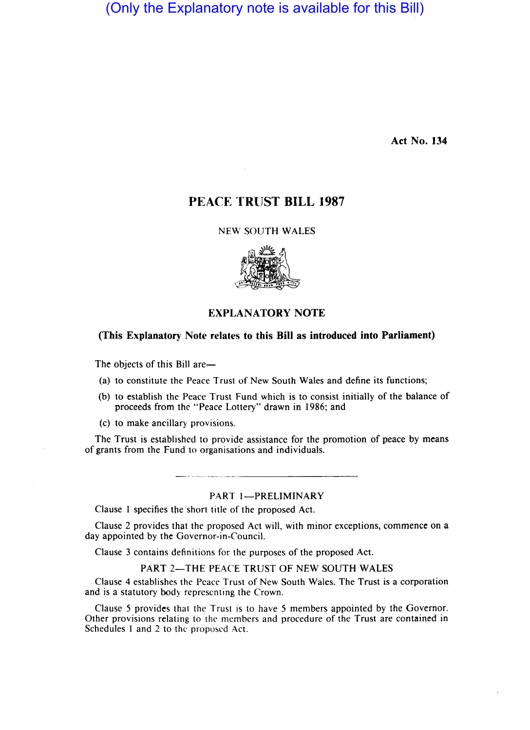## (Only the Explanatory note is available for this Bill)

Act No. 134

## PEACE TRUST BILL 1987

NEW SOUTH WALES



## EXPLANATORY NOTE

### (This Explanatory Note relates to this Bill as introduced into Parliament)

The objects of this Bill are-

- (a) to constitute the Peace Trust of New South Wales and define its functions;
- (b) to establish the Peace Trust Fund which is to consist initially of the balance of proceeds from the "Peace Lottery" drawn in 1986; and
- (c) to make ancillary provisions.

The Trust is established to provide assistance for the promotion of peace by means of grants from the Fund to organisations and individuals.

#### PART I-PRELIMINARY

Clause I specifies the short title of the proposed Act.

Clause 2 provides that the proposed Act will, with minor exceptions, commence on a day appointed by the Governor-in-Council.

Clause 3 contains definitions for the purposes of the proposed Act.

PART 2-THE PEACE TRUST OF NEW SOUTH WALES

Clause 4 establishes the Peace Trust of New South Wales. The Trust is a corporation and is a statutory body representing the Crown.

Clause 5 provides that the Trust is to have 5 members appointed by the Governor. Other provisions relating to the members and procedure of the Trust are contained in Schedules 1 and 2 to the proposed Act.